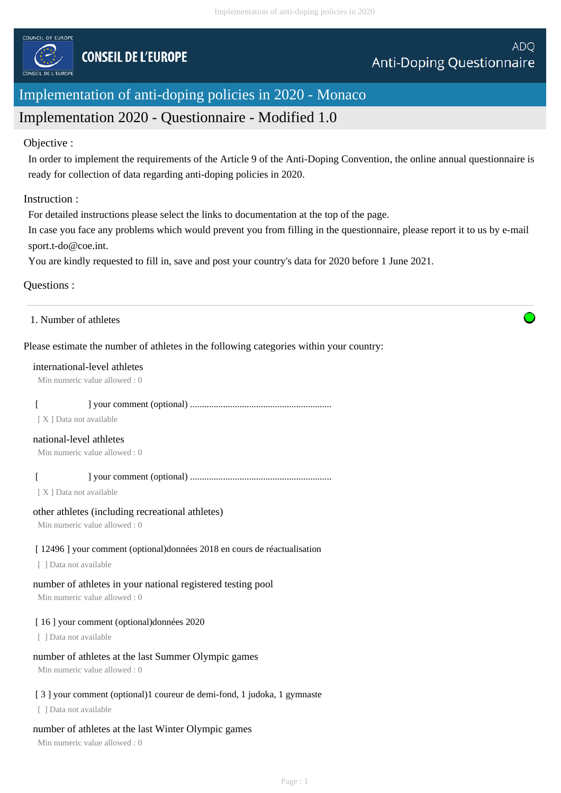

# Implementation of anti-doping policies in 2020 - Monaco

# Implementation 2020 - Questionnaire - Modified 1.0

#### Objective :

In order to implement the requirements of the Article 9 of the Anti-Doping Convention, the online annual questionnaire is ready for collection of data regarding anti-doping policies in 2020.

## Instruction :

For detailed instructions please select the links to documentation at the top of the page.

In case you face any problems which would prevent you from filling in the questionnaire, please report it to us by e-mail sport.t-do@coe.int.

You are kindly requested to fill in, save and post your country's data for 2020 before 1 June 2021.

## Questions :

1. Number of athletes

## Please estimate the number of athletes in the following categories within your country:

#### international-level athletes

Min numeric value allowed : 0

# [ ] your comment (optional) ............................................................

[ X ] Data not available

#### national-level athletes

Min numeric value allowed : 0

## [ ] your comment (optional) ............................................................

[ X ] Data not available

#### other athletes (including recreational athletes)

Min numeric value allowed : 0

# [ 12496 ] your comment (optional)données 2018 en cours de réactualisation

[ ] Data not available

# number of athletes in your national registered testing pool

Min numeric value allowed : 0

# [ 16 ] your comment (optional)données 2020

[ ] Data not available

# number of athletes at the last Summer Olympic games

Min numeric value allowed : 0

# [3] your comment (optional)1 coureur de demi-fond, 1 judoka, 1 gymnaste

[ ] Data not available

# number of athletes at the last Winter Olympic games

Min numeric value allowed : 0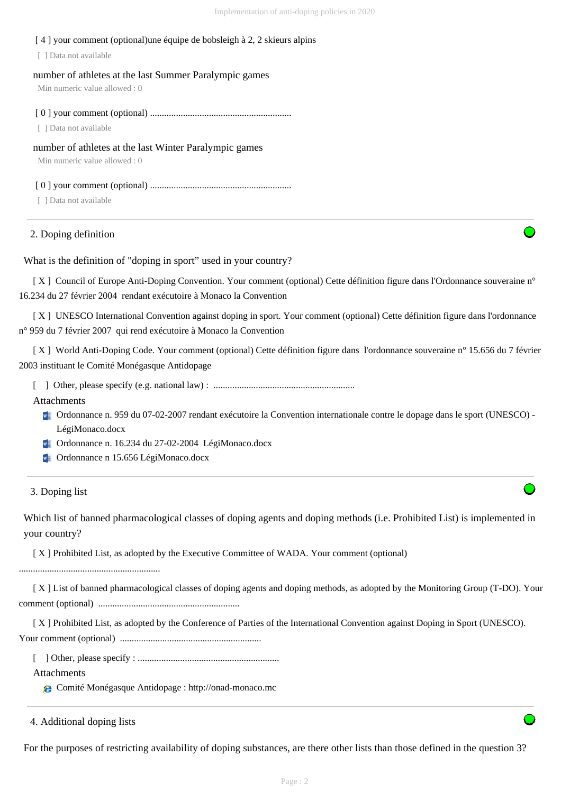#### [ 4 ] your comment (optional)une équipe de bobsleigh à 2, 2 skieurs alpins

[ ] Data not available

number of athletes at the last Summer Paralympic games

Min numeric value allowed : 0

[ 0 ] your comment (optional) ............................................................

[ ] Data not available

#### number of athletes at the last Winter Paralympic games

Min numeric value allowed : 0

[ 0 ] your comment (optional) ............................................................

[ ] Data not available

#### 2. Doping definition

What is the definition of "doping in sport" used in your country?

 [ X ] Council of Europe Anti-Doping Convention. Your comment (optional) Cette définition figure dans l'Ordonnance souveraine n° 16.234 du 27 février 2004 rendant exécutoire à Monaco la Convention

 [ X ] UNESCO International Convention against doping in sport. Your comment (optional) Cette définition figure dans l'ordonnance n° 959 du 7 février 2007 qui rend exécutoire à Monaco la Convention

 [ X ] World Anti-Doping Code. Your comment (optional) Cette définition figure dans l'ordonnance souveraine n° 15.656 du 7 février 2003 instituant le Comité Monégasque Antidopage

 [ ] Other, please specify (e.g. national law) : ............................................................ Attachments

Ordonnance n. 959 du 07-02-2007 rendant exécutoire la Convention internationale contre le dopage dans le sport (UNESCO) - LégiMonaco.docx

Ordonnance n. 16.234 du 27-02-2004 LégiMonaco.docx

**V** Ordonnance n 15.656 LégiMonaco.docx

3. Doping list

Which list of banned pharmacological classes of doping agents and doping methods (i.e. Prohibited List) is implemented in your country?

[ X ] Prohibited List, as adopted by the Executive Committee of WADA. Your comment (optional)

............................................................

 [ X ] List of banned pharmacological classes of doping agents and doping methods, as adopted by the Monitoring Group (T-DO). Your comment (optional) ............................................................

 [ X ] Prohibited List, as adopted by the Conference of Parties of the International Convention against Doping in Sport (UNESCO). Your comment (optional) ............................................................

[ ] Other, please specify : ............................................................

Attachments

Comité Monégasque Antidopage : http://onad-monaco.mc

4. Additional doping lists

For the purposes of restricting availability of doping substances, are there other lists than those defined in the question 3?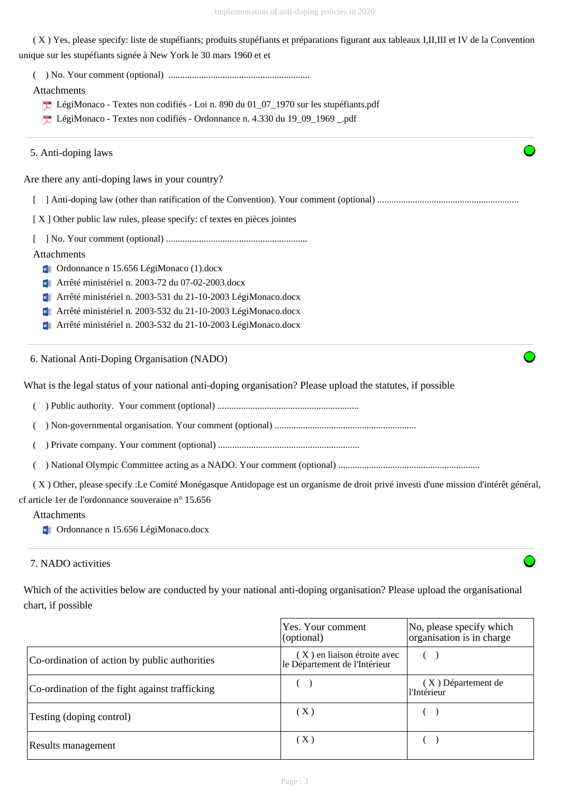( X ) Yes, please specify: liste de stupéfiants; produits stupéfiants et préparations figurant aux tableaux I,II,III et IV de la Convention unique sur les stupéfiants signée à New York le 30 mars 1960 et et

( ) No. Your comment (optional) ............................................................

Attachments

- LégiMonaco Textes non codifiés Loi n. 890 du 01\_07\_1970 sur les stupéfiants.pdf
- LégiMonaco Textes non codifiés Ordonnance n. 4.330 du 19\_09\_1969 \_.pdf

5. Anti-doping laws

Are there any anti-doping laws in your country?

[ ] Anti-doping law (other than ratification of the Convention). Your comment (optional) ............................................................

[ X ] Other public law rules, please specify: cf textes en pièces jointes

[ ] No. Your comment (optional) ............................................................

Attachments

- **V** Ordonnance n 15.656 LégiMonaco (1).docx
- Arrêté ministériel n. 2003-72 du 07-02-2003.docx
- **Fig. 2003-531 du 21-10-2003 LégiMonaco.docx**
- **Example 3 Arrêté ministériel n. 2003-532 du 21-10-2003 LégiMonaco.docx**
- **EXECUTE:** Arrêté ministériel n. 2003-532 du 21-10-2003 LégiMonaco.docx

6. National Anti-Doping Organisation (NADO)

What is the legal status of your national anti-doping organisation? Please upload the statutes, if possible

( ) Public authority. Your comment (optional) ............................................................

( ) Non-governmental organisation. Your comment (optional) ............................................................

( ) Private company. Your comment (optional) ............................................................

( ) National Olympic Committee acting as a NADO. Your comment (optional) ............................................................

 ( X ) Other, please specify :Le Comité Monégasque Antidopage est un organisme de droit privé investi d'une mission d'intérêt général, cf article 1er de l'ordonnance souveraine n° 15.656

#### Attachments

**V** Ordonnance n 15.656 LégiMonaco.docx

# 7. NADO activities

Which of the activities below are conducted by your national anti-doping organisation? Please upload the organisational chart, if possible

|                                                | Yes. Your comment<br>(optional)                              | No, please specify which<br>organisation is in charge |
|------------------------------------------------|--------------------------------------------------------------|-------------------------------------------------------|
| Co-ordination of action by public authorities  | (X) en liaison étroite avec<br>le Département de l'Intérieur |                                                       |
| Co-ordination of the fight against trafficking |                                                              | (X) Département de<br>l'Intérieur                     |
| Testing (doping control)                       | $(\ X)$                                                      |                                                       |
| Results management                             | (X)                                                          |                                                       |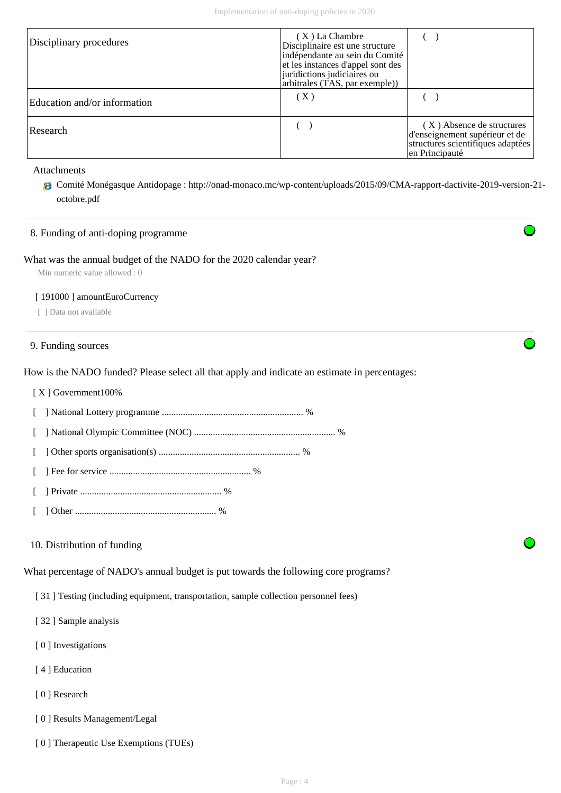| Disciplinary procedures      | (X) La Chambre<br>Disciplinaire est une structure<br>indépendante au sein du Comité<br>et les instances d'appel sont des<br>juridictions judiciaires ou<br>arbitrales (TAS, par exemple)) |                                                                                                                    |  |  |
|------------------------------|-------------------------------------------------------------------------------------------------------------------------------------------------------------------------------------------|--------------------------------------------------------------------------------------------------------------------|--|--|
| Education and/or information | $(\,\mathrm{X}\,)$                                                                                                                                                                        |                                                                                                                    |  |  |
| Research                     |                                                                                                                                                                                           | (X) Absence de structures<br>d'enseignement supérieur et de<br>structures scientifiques adaptées<br>en Principauté |  |  |

#### Attachments

Comité Monégasque Antidopage : http://onad-monaco.mc/wp-content/uploads/2015/09/CMA-rapport-dactivite-2019-version-21 octobre.pdf

## 8. Funding of anti-doping programme

#### What was the annual budget of the NADO for the 2020 calendar year?

Min numeric value allowed : 0

#### [ 191000 ] amountEuroCurrency

[ ] Data not available

#### 9. Funding sources

How is the NADO funded? Please select all that apply and indicate an estimate in percentages:

- [ X ] Government100%
- [ ] National Lottery programme ............................................................ %
- [ ] National Olympic Committee (NOC) ............................................................ %
- [ ] Other sports organisation(s) ............................................................ %
- [ ] Fee for service ............................................................ %
- [ ] Private ............................................................ %
- [ ] Other ............................................................ %

#### 10. Distribution of funding

What percentage of NADO's annual budget is put towards the following core programs?

[ 31 ] Testing (including equipment, transportation, sample collection personnel fees)

- [ 32 ] Sample analysis
- [ 0 ] Investigations
- [4] Education
- [ 0 ] Research
- [ 0 ] Results Management/Legal
- [ 0 ] Therapeutic Use Exemptions (TUEs)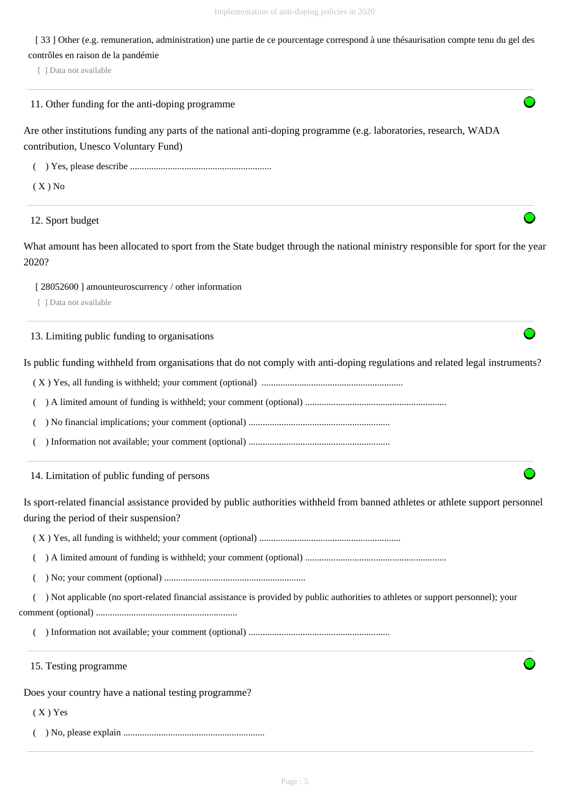[ 33 ] Other (e.g. remuneration, administration) une partie de ce pourcentage correspond à une thésaurisation compte tenu du gel des contrôles en raison de la pandémie

[ ] Data not available

11. Other funding for the anti-doping programme

Are other institutions funding any parts of the national anti-doping programme (e.g. laboratories, research, WADA contribution, Unesco Voluntary Fund)

( ) Yes, please describe ............................................................

 $(X)$  No

12. Sport budget

What amount has been allocated to sport from the State budget through the national ministry responsible for sport for the year 2020?

[ 28052600 ] amounteuroscurrency / other information

[ ] Data not available

13. Limiting public funding to organisations

Is public funding withheld from organisations that do not comply with anti-doping regulations and related legal instruments?

( X ) Yes, all funding is withheld; your comment (optional) ............................................................

( ) A limited amount of funding is withheld; your comment (optional) ............................................................

( ) No financial implications; your comment (optional) ............................................................

( ) Information not available; your comment (optional) ............................................................

14. Limitation of public funding of persons

Is sport-related financial assistance provided by public authorities withheld from banned athletes or athlete support personnel during the period of their suspension?

( X ) Yes, all funding is withheld; your comment (optional) ............................................................

( ) A limited amount of funding is withheld; your comment (optional) ............................................................

( ) No; your comment (optional) ............................................................

 ( ) Not applicable (no sport-related financial assistance is provided by public authorities to athletes or support personnel); your comment (optional) ............................................................

( ) Information not available; your comment (optional) ............................................................

15. Testing programme

Does your country have a national testing programme?

 $(X)$  Yes

( ) No, please explain ............................................................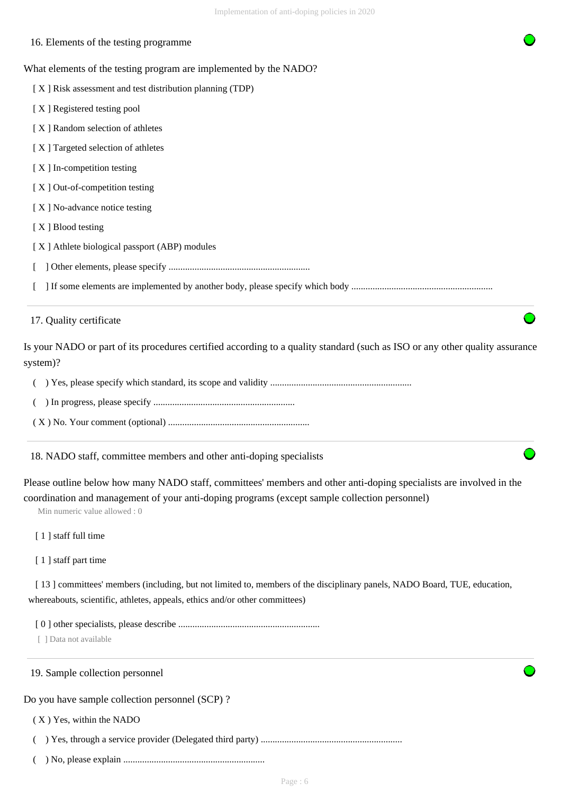| Implementation of anti-doping policies in 2020                                                                                                                                                                                                       |
|------------------------------------------------------------------------------------------------------------------------------------------------------------------------------------------------------------------------------------------------------|
| 16. Elements of the testing programme                                                                                                                                                                                                                |
| What elements of the testing program are implemented by the NADO?                                                                                                                                                                                    |
| [X] Risk assessment and test distribution planning (TDP)                                                                                                                                                                                             |
| [X] Registered testing pool                                                                                                                                                                                                                          |
| [X] Random selection of athletes                                                                                                                                                                                                                     |
| [X] Targeted selection of athletes                                                                                                                                                                                                                   |
| [X] In-competition testing                                                                                                                                                                                                                           |
| [X] Out-of-competition testing                                                                                                                                                                                                                       |
| [X] No-advance notice testing                                                                                                                                                                                                                        |
| [X] Blood testing                                                                                                                                                                                                                                    |
| [X] Athlete biological passport (ABP) modules                                                                                                                                                                                                        |
|                                                                                                                                                                                                                                                      |
|                                                                                                                                                                                                                                                      |
| 17. Quality certificate                                                                                                                                                                                                                              |
| Is your NADO or part of its procedures certified according to a quality standard (such as ISO or any other quality assurance<br>system)?                                                                                                             |
|                                                                                                                                                                                                                                                      |
|                                                                                                                                                                                                                                                      |
|                                                                                                                                                                                                                                                      |
| 18. NADO staff, committee members and other anti-doping specialists                                                                                                                                                                                  |
| Please outline below how many NADO staff, committees' members and other anti-doping specialists are involved in the<br>coordination and management of your anti-doping programs (except sample collection personnel)<br>Min numeric value allowed: 0 |
| [1] staff full time                                                                                                                                                                                                                                  |
| [1] staff part time                                                                                                                                                                                                                                  |
| [13] committees' members (including, but not limited to, members of the disciplinary panels, NADO Board, TUE, education,<br>whereabouts, scientific, athletes, appeals, ethics and/or other committees)                                              |
|                                                                                                                                                                                                                                                      |

[ ] Data not available

# 19. Sample collection personnel

Do you have sample collection personnel (SCP) ?

( X ) Yes, within the NADO

( ) Yes, through a service provider (Delegated third party) ............................................................

( ) No, please explain ............................................................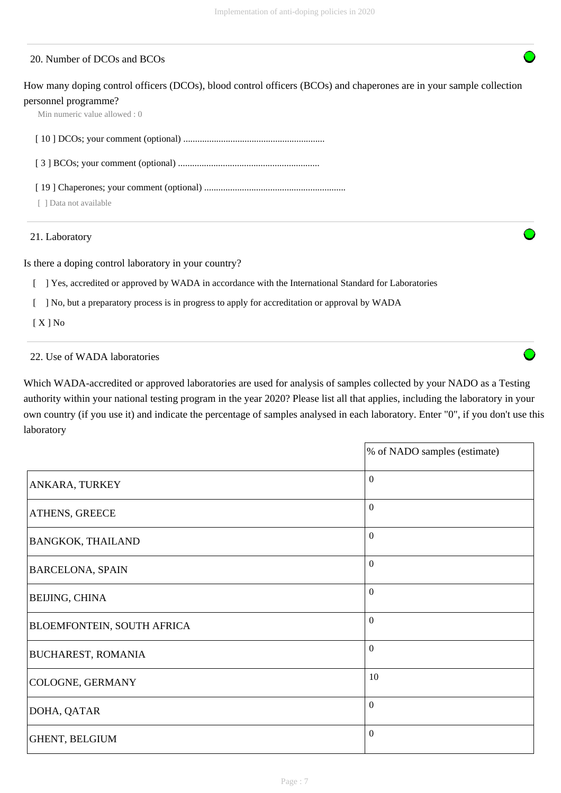# 20. Number of DCOs and BCOs

How many doping control officers (DCOs), blood control officers (BCOs) and chaperones are in your sample collection personnel programme?

Min numeric value allowed : 0

[ 10 ] DCOs; your comment (optional) ............................................................

[ 3 ] BCOs; your comment (optional) ............................................................

[ 19 ] Chaperones; your comment (optional) ............................................................

[ ] Data not available

21. Laboratory

Is there a doping control laboratory in your country?

[ ] Yes, accredited or approved by WADA in accordance with the International Standard for Laboratories

[ ] No, but a preparatory process is in progress to apply for accreditation or approval by WADA

[ X ] No

## 22. Use of WADA laboratories

Which WADA-accredited or approved laboratories are used for analysis of samples collected by your NADO as a Testing authority within your national testing program in the year 2020? Please list all that applies, including the laboratory in your own country (if you use it) and indicate the percentage of samples analysed in each laboratory. Enter "0", if you don't use this laboratory

|                            | % of NADO samples (estimate) |
|----------------------------|------------------------------|
| ANKARA, TURKEY             | $\overline{0}$               |
| ATHENS, GREECE             | $\overline{0}$               |
| BANGKOK, THAILAND          | $\overline{0}$               |
| <b>BARCELONA, SPAIN</b>    | $\overline{0}$               |
| BEIJING, CHINA             | $\theta$                     |
| BLOEMFONTEIN, SOUTH AFRICA | $\mathbf{0}$                 |
| <b>BUCHAREST, ROMANIA</b>  | $\overline{0}$               |
| COLOGNE, GERMANY           | 10                           |
| DOHA, QATAR                | $\overline{0}$               |
| GHENT, BELGIUM             | $\boldsymbol{0}$             |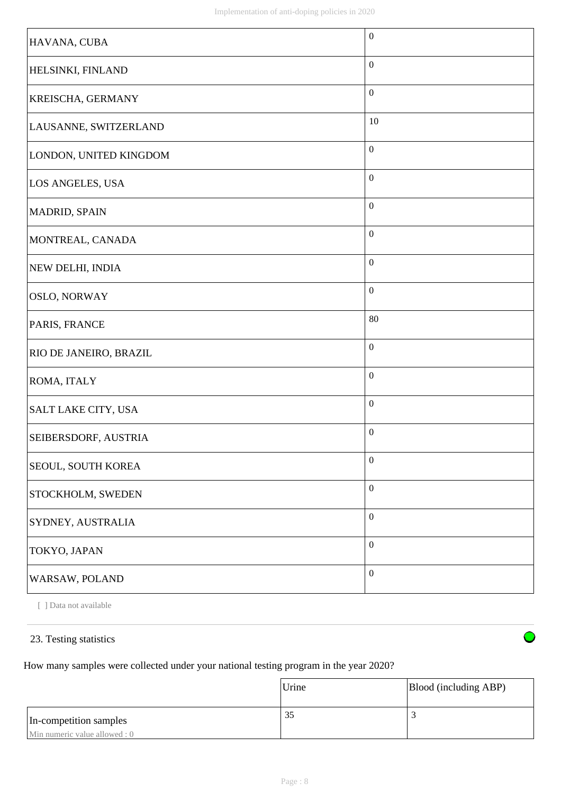| HAVANA, CUBA               | $\boldsymbol{0}$ |
|----------------------------|------------------|
| HELSINKI, FINLAND          | $\mathbf{0}$     |
| <b>KREISCHA, GERMANY</b>   | $\boldsymbol{0}$ |
| LAUSANNE, SWITZERLAND      | 10               |
| LONDON, UNITED KINGDOM     | $\boldsymbol{0}$ |
| LOS ANGELES, USA           | $\boldsymbol{0}$ |
| MADRID, SPAIN              | $\boldsymbol{0}$ |
| MONTREAL, CANADA           | $\boldsymbol{0}$ |
| NEW DELHI, INDIA           | $\boldsymbol{0}$ |
| <b>OSLO, NORWAY</b>        | $\boldsymbol{0}$ |
| PARIS, FRANCE              | $80\,$           |
| RIO DE JANEIRO, BRAZIL     | $\boldsymbol{0}$ |
| ROMA, ITALY                | $\boldsymbol{0}$ |
| <b>SALT LAKE CITY, USA</b> | $\boldsymbol{0}$ |
| SEIBERSDORF, AUSTRIA       | $\boldsymbol{0}$ |
| <b>SEOUL, SOUTH KOREA</b>  | $\boldsymbol{0}$ |
| STOCKHOLM, SWEDEN          | $\boldsymbol{0}$ |
| SYDNEY, AUSTRALIA          | $\boldsymbol{0}$ |
| TOKYO, JAPAN               | $\boldsymbol{0}$ |
| WARSAW, POLAND             | $\boldsymbol{0}$ |

[ ] Data not available

# 23. Testing statistics

How many samples were collected under your national testing program in the year 2020?

|                               | Urine | Blood (including ABP) |
|-------------------------------|-------|-----------------------|
| In-competition samples        | 35    |                       |
| Min numeric value allowed : 0 |       |                       |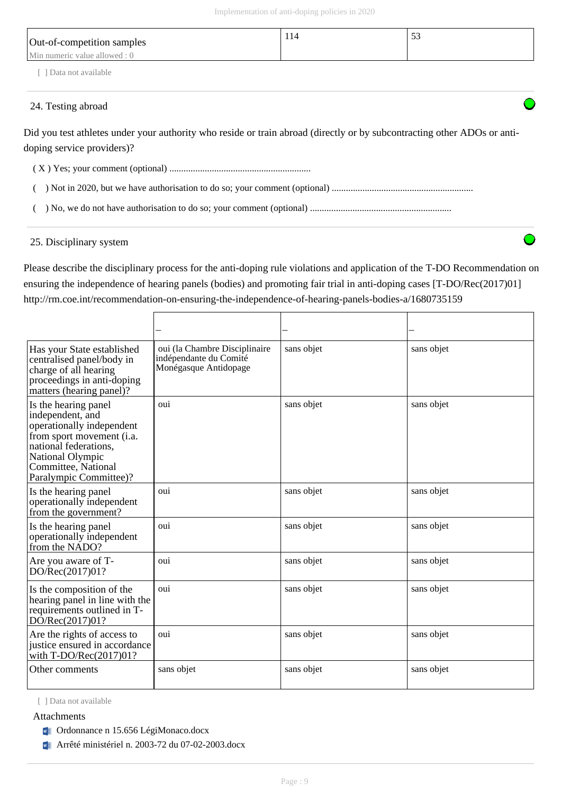| Out-of-competition samples<br>Min numeric value allowed : 0 | 114 | 53 |
|-------------------------------------------------------------|-----|----|
| Data not available                                          |     |    |

## 24. Testing abroad

Did you test athletes under your authority who reside or train abroad (directly or by subcontracting other ADOs or antidoping service providers)?

( X ) Yes; your comment (optional) ............................................................

( ) Not in 2020, but we have authorisation to do so; your comment (optional) ............................................................

( ) No, we do not have authorisation to do so; your comment (optional) ............................................................

# 25. Disciplinary system

Please describe the disciplinary process for the anti-doping rule violations and application of the T-DO Recommendation on ensuring the independence of hearing panels (bodies) and promoting fair trial in anti-doping cases [T-DO/Rec(2017)01] http://rm.coe.int/recommendation-on-ensuring-the-independence-of-hearing-panels-bodies-a/1680735159

| Has your State established<br>centralised panel/body in<br>charge of all hearing<br>proceedings in anti-doping<br>matters (hearing panel)?                                                       | oui (la Chambre Disciplinaire<br>indépendante du Comité<br>Monégasque Antidopage | sans objet | sans objet |
|--------------------------------------------------------------------------------------------------------------------------------------------------------------------------------------------------|----------------------------------------------------------------------------------|------------|------------|
| Is the hearing panel<br>independent, and<br>operationally independent<br>from sport movement (i.a.<br>national federations.<br>National Olympic<br>Committee, National<br>Paralympic Committee)? | oui                                                                              | sans objet | sans objet |
| Is the hearing panel<br>operationally independent<br>from the government?                                                                                                                        | oui                                                                              | sans objet | sans objet |
| Is the hearing panel<br>operationally independent<br>from the NADO?                                                                                                                              | oui                                                                              | sans objet | sans objet |
| Are you aware of T-<br>DO/Rec(2017)01?                                                                                                                                                           | oui                                                                              | sans objet | sans objet |
| Is the composition of the<br>hearing panel in line with the<br>requirements outlined in T-<br>DO/Rec(2017)01?                                                                                    | oui                                                                              | sans objet | sans objet |
| Are the rights of access to<br>justice ensured in accordance<br>with $T\text{-DO/Rec}(2017)01?$                                                                                                  | oui                                                                              | sans objet | sans objet |
| Other comments                                                                                                                                                                                   | sans objet                                                                       | sans objet | sans objet |

[ ] Data not available

### Attachments

- **V** Ordonnance n 15.656 LégiMonaco.docx
- **EXECUTE:** Arrêté ministériel n. 2003-72 du 07-02-2003.docx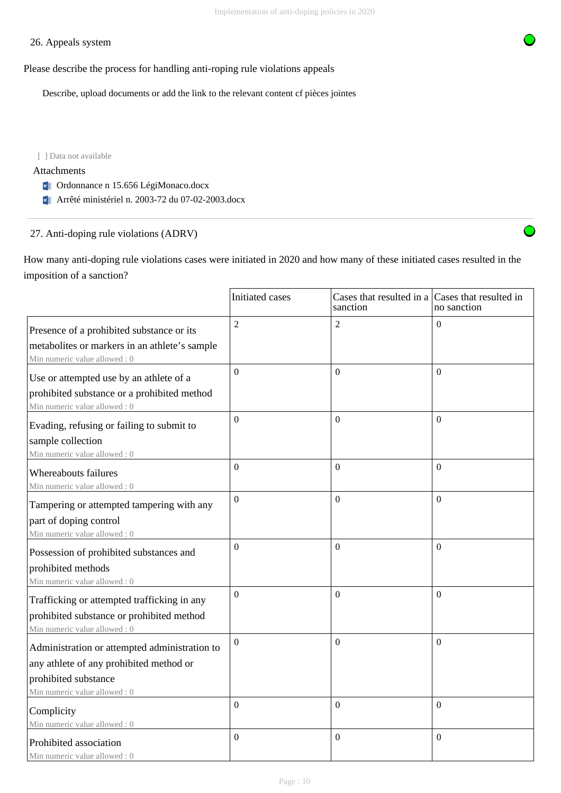# 26. Appeals system

Please describe the process for handling anti-roping rule violations appeals

Describe, upload documents or add the link to the relevant content cf pièces jointes

[ ] Data not available

#### Attachments

- **V** Ordonnance n 15.656 LégiMonaco.docx
- **Fig. 3** Arrêté ministériel n. 2003-72 du 07-02-2003.docx

# 27. Anti-doping rule violations (ADRV)

How many anti-doping rule violations cases were initiated in 2020 and how many of these initiated cases resulted in the imposition of a sanction?

|                                                                                                                                                  | Initiated cases  | Cases that resulted in a Cases that resulted in<br>sanction | no sanction      |
|--------------------------------------------------------------------------------------------------------------------------------------------------|------------------|-------------------------------------------------------------|------------------|
| Presence of a prohibited substance or its<br>metabolites or markers in an athlete's sample<br>Min numeric value allowed: 0                       | $\overline{2}$   | $\overline{2}$                                              | $\theta$         |
| Use or attempted use by an athlete of a<br>prohibited substance or a prohibited method<br>Min numeric value allowed: 0                           | $\overline{0}$   | $\Omega$                                                    | $\theta$         |
| Evading, refusing or failing to submit to<br>sample collection<br>Min numeric value allowed : 0                                                  | $\mathbf{0}$     | $\mathbf{0}$                                                | $\overline{0}$   |
| Whereabouts failures<br>Min numeric value allowed: 0                                                                                             | $\boldsymbol{0}$ | $\mathbf{0}$                                                | $\boldsymbol{0}$ |
| Tampering or attempted tampering with any<br>part of doping control<br>Min numeric value allowed: 0                                              | $\overline{0}$   | $\mathbf{0}$                                                | $\mathbf{0}$     |
| Possession of prohibited substances and<br>prohibited methods<br>Min numeric value allowed: 0                                                    | $\theta$         | $\Omega$                                                    | $\theta$         |
| Trafficking or attempted trafficking in any<br>prohibited substance or prohibited method<br>Min numeric value allowed: 0                         | $\boldsymbol{0}$ | $\Omega$                                                    | $\theta$         |
| Administration or attempted administration to<br>any athlete of any prohibited method or<br>prohibited substance<br>Min numeric value allowed: 0 | $\Omega$         | $\mathbf{0}$                                                | $\Omega$         |
| Complicity<br>Min numeric value allowed: 0                                                                                                       | $\overline{0}$   | $\boldsymbol{0}$                                            | $\mathbf{0}$     |
| Prohibited association<br>Min numeric value allowed: 0                                                                                           | $\Omega$         | $\Omega$                                                    | $\theta$         |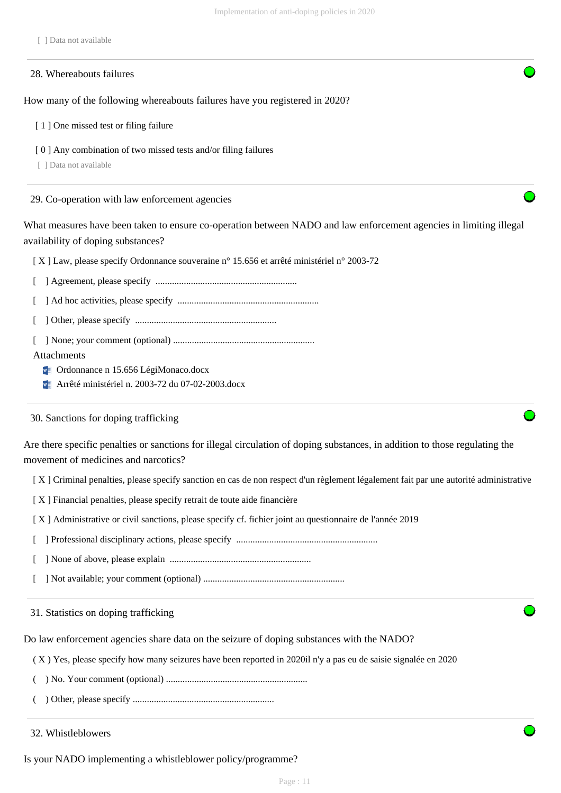[ ] Data not available

|  | 28. Whereabouts failures |
|--|--------------------------|
|--|--------------------------|

How many of the following whereabouts failures have you registered in 2020?

[ 1 ] One missed test or filing failure

[ 0 ] Any combination of two missed tests and/or filing failures

[ ] Data not available

29. Co-operation with law enforcement agencies

What measures have been taken to ensure co-operation between NADO and law enforcement agencies in limiting illegal availability of doping substances?

[ X ] Law, please specify Ordonnance souveraine n° 15.656 et arrêté ministériel n° 2003-72

[ ] Agreement, please specify ............................................................

[ ] Ad hoc activities, please specify ............................................................

[ ] Other, please specify ............................................................

[ ] None; your comment (optional) ............................................................

#### Attachments

**V** Ordonnance n 15.656 LégiMonaco.docx

Arrêté ministériel n. 2003-72 du 07-02-2003.docx

30. Sanctions for doping trafficking

Are there specific penalties or sanctions for illegal circulation of doping substances, in addition to those regulating the movement of medicines and narcotics?

- [ X ] Criminal penalties, please specify sanction en cas de non respect d'un règlement légalement fait par une autorité administrative
- [ X ] Financial penalties, please specify retrait de toute aide financière
- [ X ] Administrative or civil sanctions, please specify cf. fichier joint au questionnaire de l'année 2019
- [ ] Professional disciplinary actions, please specify ............................................................

[ ] None of above, please explain ............................................................

[ ] Not available; your comment (optional) ............................................................

#### 31. Statistics on doping trafficking

Do law enforcement agencies share data on the seizure of doping substances with the NADO?

( X ) Yes, please specify how many seizures have been reported in 2020il n'y a pas eu de saisie signalée en 2020

- ( ) No. Your comment (optional) ............................................................
- ( ) Other, please specify ............................................................
- 32. Whistleblowers

Is your NADO implementing a whistleblower policy/programme?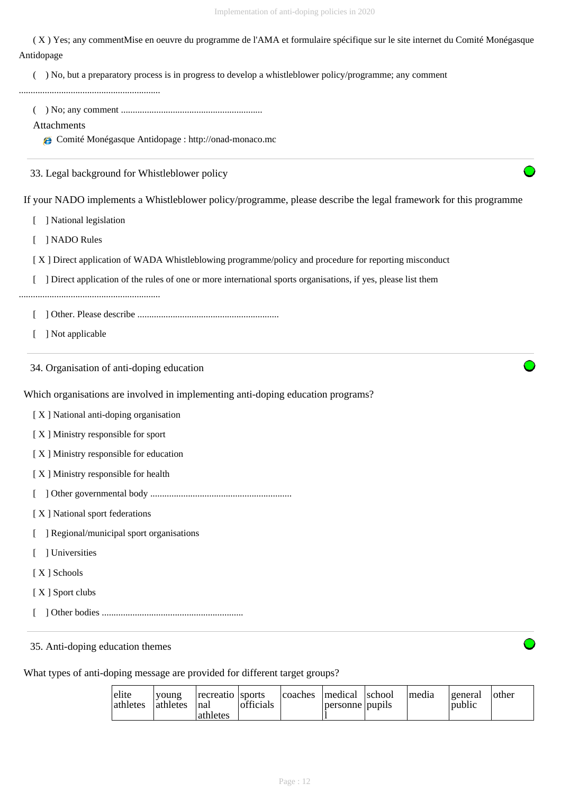( X ) Yes; any commentMise en oeuvre du programme de l'AMA et formulaire spécifique sur le site internet du Comité Monégasque Antidopage

( ) No, but a preparatory process is in progress to develop a whistleblower policy/programme; any comment

............................................................

( ) No; any comment ............................................................

#### Attachments

Comité Monégasque Antidopage : http://onad-monaco.mc

33. Legal background for Whistleblower policy

If your NADO implements a Whistleblower policy/programme, please describe the legal framework for this programme

[ ] National legislation

[ ] NADO Rules

- [ X ] Direct application of WADA Whistleblowing programme/policy and procedure for reporting misconduct
- [ ] Direct application of the rules of one or more international sports organisations, if yes, please list them

............................................................

- [ ] Other. Please describe ............................................................
- [ ] Not applicable

34. Organisation of anti-doping education

Which organisations are involved in implementing anti-doping education programs?

- [ X ] National anti-doping organisation
- [ X ] Ministry responsible for sport
- [ X ] Ministry responsible for education
- [X] Ministry responsible for health
- [ ] Other governmental body ............................................................
- [ X ] National sport federations
- [ ] Regional/municipal sport organisations
- [ ] Universities
- [ X ] Schools
- [ X ] Sport clubs
- [ ] Other bodies ............................................................

35. Anti-doping education themes

What types of anti-doping message are provided for different target groups?

| elite<br>athletes | voung<br><i>l</i> athletes | recreatio Isports<br>Inal<br>lathletes | officials |  | coaches   medical   school<br>personne pupils |  | Imedia | <u>l</u> general<br>public | <b>other</b> |
|-------------------|----------------------------|----------------------------------------|-----------|--|-----------------------------------------------|--|--------|----------------------------|--------------|
|-------------------|----------------------------|----------------------------------------|-----------|--|-----------------------------------------------|--|--------|----------------------------|--------------|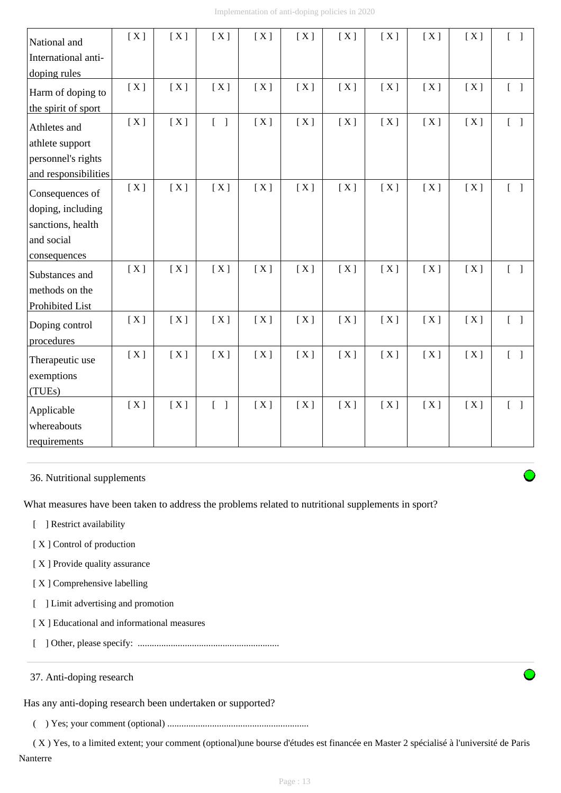| National and         | [X] | [X] | [X]                               | [X] | [X] | [X] | [X] | [X] | [X] | $\begin{bmatrix} 1 & 1 \end{bmatrix}$ |
|----------------------|-----|-----|-----------------------------------|-----|-----|-----|-----|-----|-----|---------------------------------------|
| International anti-  |     |     |                                   |     |     |     |     |     |     |                                       |
| doping rules         |     |     |                                   |     |     |     |     |     |     |                                       |
| Harm of doping to    | [X] | [X] | [X]                               | [X] | [X] | [X] | [X] | [X] | [X] | $\begin{bmatrix} 1 \end{bmatrix}$     |
| the spirit of sport  |     |     |                                   |     |     |     |     |     |     |                                       |
| Athletes and         | [X] | [X] | $\begin{bmatrix} 1 \end{bmatrix}$ | [X] | [X] | [X] | [X] | [X] | [X] | $\begin{bmatrix} 1 \end{bmatrix}$     |
| athlete support      |     |     |                                   |     |     |     |     |     |     |                                       |
| personnel's rights   |     |     |                                   |     |     |     |     |     |     |                                       |
| and responsibilities |     |     |                                   |     |     |     |     |     |     |                                       |
| Consequences of      | [X] | [X] | [X]                               | [X] | [X] | [X] | [X] | [X] | [X] | $\begin{bmatrix} 1 \end{bmatrix}$     |
| doping, including    |     |     |                                   |     |     |     |     |     |     |                                       |
| sanctions, health    |     |     |                                   |     |     |     |     |     |     |                                       |
| and social           |     |     |                                   |     |     |     |     |     |     |                                       |
| consequences         |     |     |                                   |     |     |     |     |     |     |                                       |
| Substances and       | [X] | [X] | [X]                               | [X] | [X] | [X] | [X] | [X] | [X] | $\begin{bmatrix} 1 \end{bmatrix}$     |
| methods on the       |     |     |                                   |     |     |     |     |     |     |                                       |
| Prohibited List      |     |     |                                   |     |     |     |     |     |     |                                       |
| Doping control       | [X] | [X] | [X]                               | [X] | [X] | [X] | [X] | [X] | [X] | $\begin{bmatrix} 1 \end{bmatrix}$     |
| procedures           |     |     |                                   |     |     |     |     |     |     |                                       |
| Therapeutic use      | [X] | [X] | [X]                               | [X] | [X] | [X] | [X] | [X] | [X] | $\begin{bmatrix} 1 \end{bmatrix}$     |
| exemptions           |     |     |                                   |     |     |     |     |     |     |                                       |
| (TUEs)               |     |     |                                   |     |     |     |     |     |     |                                       |
| Applicable           | [X] | [X] | $[\quad]$                         | [X] | [X] | [X] | [X] | [X] | [X] | $\begin{bmatrix} 1 \end{bmatrix}$     |
| whereabouts          |     |     |                                   |     |     |     |     |     |     |                                       |
| requirements         |     |     |                                   |     |     |     |     |     |     |                                       |

36. Nutritional supplements

What measures have been taken to address the problems related to nutritional supplements in sport?

- [ ] Restrict availability
- [X] Control of production
- [X] Provide quality assurance
- [X] Comprehensive labelling
- [ ] Limit advertising and promotion
- [ X ] Educational and informational measures
- [ ] Other, please specify: ............................................................

37. Anti-doping research

Has any anti-doping research been undertaken or supported?

( ) Yes; your comment (optional) ............................................................

 ( X ) Yes, to a limited extent; your comment (optional)une bourse d'études est financée en Master 2 spécialisé à l'université de Paris Nanterre